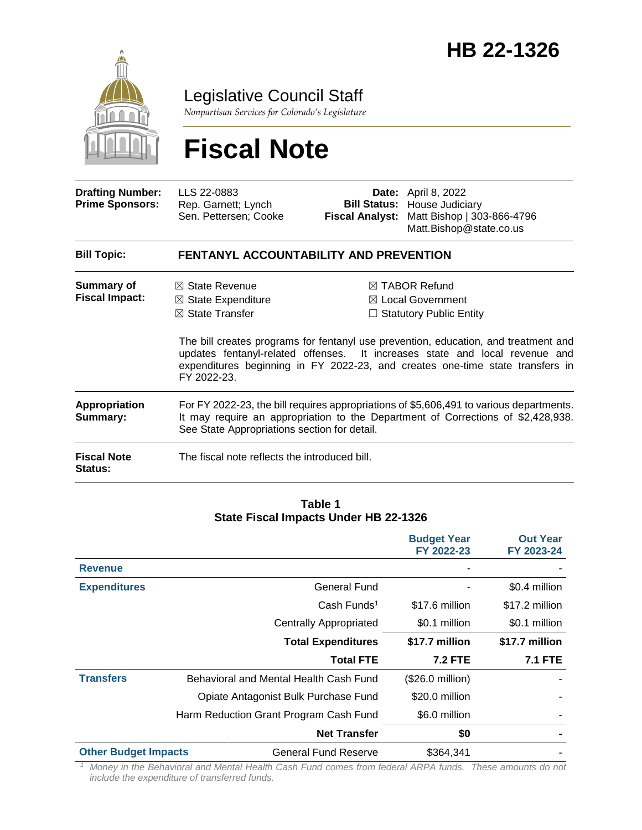

Legislative Council Staff

*Nonpartisan Services for Colorado's Legislature*

# **Fiscal Note**

| <b>Drafting Number:</b><br><b>Prime Sponsors:</b> | LLS 22-0883<br>Rep. Garnett; Lynch<br>Sen. Pettersen; Cooke                                                                                                                                                                 | <b>Fiscal Analyst:</b>                                                                                                                                                                                                                                                                                                                            | <b>Date:</b> April 8, 2022<br><b>Bill Status: House Judiciary</b><br>Matt Bishop   303-866-4796<br>Matt.Bishop@state.co.us |  |
|---------------------------------------------------|-----------------------------------------------------------------------------------------------------------------------------------------------------------------------------------------------------------------------------|---------------------------------------------------------------------------------------------------------------------------------------------------------------------------------------------------------------------------------------------------------------------------------------------------------------------------------------------------|----------------------------------------------------------------------------------------------------------------------------|--|
| <b>Bill Topic:</b>                                | <b>FENTANYL ACCOUNTABILITY AND PREVENTION</b>                                                                                                                                                                               |                                                                                                                                                                                                                                                                                                                                                   |                                                                                                                            |  |
| Summary of<br><b>Fiscal Impact:</b>               | $\boxtimes$ State Revenue<br>$\boxtimes$ State Expenditure<br>$\boxtimes$ State Transfer<br>FY 2022-23.                                                                                                                     | $\boxtimes$ TABOR Refund<br>$\boxtimes$ Local Government<br>$\Box$ Statutory Public Entity<br>The bill creates programs for fentanyl use prevention, education, and treatment and<br>updates fentanyl-related offenses. It increases state and local revenue and<br>expenditures beginning in FY 2022-23, and creates one-time state transfers in |                                                                                                                            |  |
| <b>Appropriation</b><br>Summary:                  | For FY 2022-23, the bill requires appropriations of \$5,606,491 to various departments.<br>It may require an appropriation to the Department of Corrections of \$2,428,938.<br>See State Appropriations section for detail. |                                                                                                                                                                                                                                                                                                                                                   |                                                                                                                            |  |
| <b>Fiscal Note</b><br><b>Status:</b>              | The fiscal note reflects the introduced bill.                                                                                                                                                                               |                                                                                                                                                                                                                                                                                                                                                   |                                                                                                                            |  |

#### **Table 1 State Fiscal Impacts Under HB 22-1326**

|                             |                                        | <b>Budget Year</b><br>FY 2022-23 | <b>Out Year</b><br>FY 2023-24 |
|-----------------------------|----------------------------------------|----------------------------------|-------------------------------|
| <b>Revenue</b>              |                                        |                                  |                               |
| <b>Expenditures</b>         | General Fund                           |                                  | \$0.4 million                 |
|                             | $Cash$ Funds <sup>1</sup>              | \$17.6 million                   | \$17.2 million                |
|                             | <b>Centrally Appropriated</b>          | \$0.1 million                    | \$0.1 million                 |
|                             | <b>Total Expenditures</b>              | \$17.7 million                   | \$17.7 million                |
|                             | <b>Total FTE</b>                       | <b>7.2 FTE</b>                   | <b>7.1 FTE</b>                |
| <b>Transfers</b>            | Behavioral and Mental Health Cash Fund | $($26.0 \text{ million})$        |                               |
|                             | Opiate Antagonist Bulk Purchase Fund   | \$20.0 million                   |                               |
|                             | Harm Reduction Grant Program Cash Fund | \$6.0 million                    |                               |
|                             | <b>Net Transfer</b>                    | \$0                              |                               |
| <b>Other Budget Impacts</b> | <b>General Fund Reserve</b>            | \$364.341                        |                               |

*<sup>1</sup> Money in the Behavioral and Mental Health Cash Fund comes from federal ARPA funds. These amounts do not include the expenditure of transferred funds.*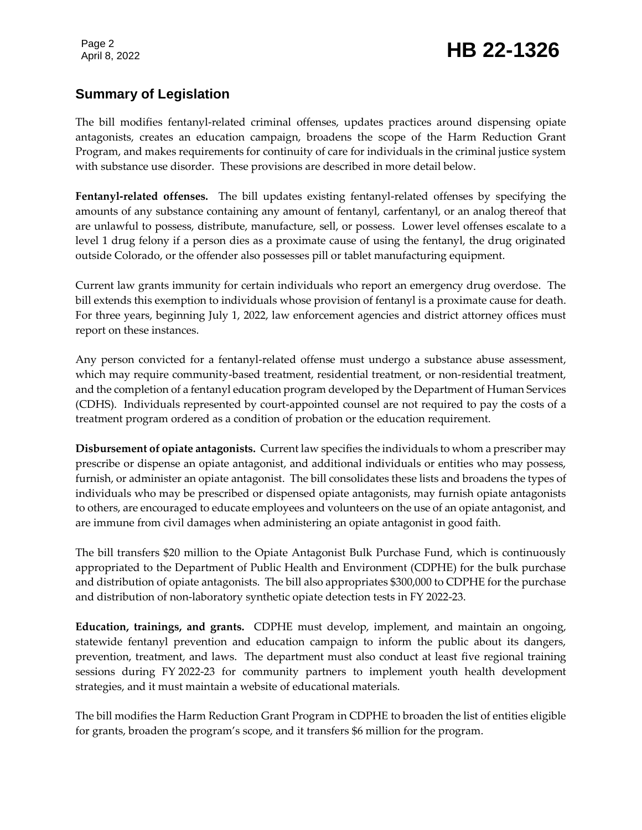## Page 2<br>April 8, 2022 **HB 22-1326**

## **Summary of Legislation**

The bill modifies fentanyl-related criminal offenses, updates practices around dispensing opiate antagonists, creates an education campaign, broadens the scope of the Harm Reduction Grant Program, and makes requirements for continuity of care for individuals in the criminal justice system with substance use disorder. These provisions are described in more detail below.

**Fentanyl-related offenses.** The bill updates existing fentanyl-related offenses by specifying the amounts of any substance containing any amount of fentanyl, carfentanyl, or an analog thereof that are unlawful to possess, distribute, manufacture, sell, or possess. Lower level offenses escalate to a level 1 drug felony if a person dies as a proximate cause of using the fentanyl, the drug originated outside Colorado, or the offender also possesses pill or tablet manufacturing equipment.

Current law grants immunity for certain individuals who report an emergency drug overdose. The bill extends this exemption to individuals whose provision of fentanyl is a proximate cause for death. For three years, beginning July 1, 2022, law enforcement agencies and district attorney offices must report on these instances.

Any person convicted for a fentanyl-related offense must undergo a substance abuse assessment, which may require community-based treatment, residential treatment, or non-residential treatment, and the completion of a fentanyl education program developed by the Department of Human Services (CDHS). Individuals represented by court-appointed counsel are not required to pay the costs of a treatment program ordered as a condition of probation or the education requirement.

**Disbursement of opiate antagonists.** Current law specifies the individuals to whom a prescriber may prescribe or dispense an opiate antagonist, and additional individuals or entities who may possess, furnish, or administer an opiate antagonist. The bill consolidates these lists and broadens the types of individuals who may be prescribed or dispensed opiate antagonists, may furnish opiate antagonists to others, are encouraged to educate employees and volunteers on the use of an opiate antagonist, and are immune from civil damages when administering an opiate antagonist in good faith.

The bill transfers \$20 million to the Opiate Antagonist Bulk Purchase Fund, which is continuously appropriated to the Department of Public Health and Environment (CDPHE) for the bulk purchase and distribution of opiate antagonists. The bill also appropriates \$300,000 to CDPHE for the purchase and distribution of non-laboratory synthetic opiate detection tests in FY 2022-23.

**Education, trainings, and grants.** CDPHE must develop, implement, and maintain an ongoing, statewide fentanyl prevention and education campaign to inform the public about its dangers, prevention, treatment, and laws. The department must also conduct at least five regional training sessions during FY 2022-23 for community partners to implement youth health development strategies, and it must maintain a website of educational materials.

The bill modifies the Harm Reduction Grant Program in CDPHE to broaden the list of entities eligible for grants, broaden the program's scope, and it transfers \$6 million for the program.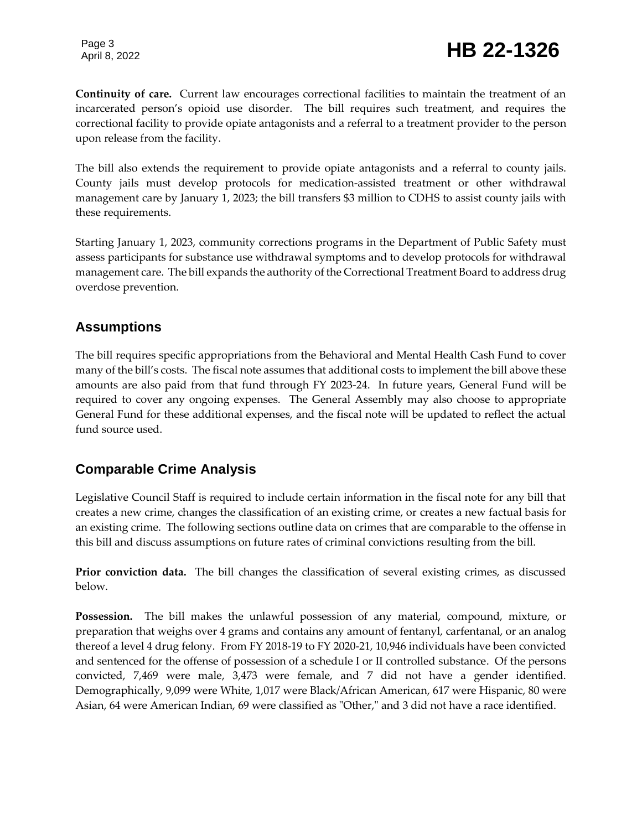**Continuity of care.** Current law encourages correctional facilities to maintain the treatment of an incarcerated person's opioid use disorder. The bill requires such treatment, and requires the correctional facility to provide opiate antagonists and a referral to a treatment provider to the person upon release from the facility.

The bill also extends the requirement to provide opiate antagonists and a referral to county jails. County jails must develop protocols for medication-assisted treatment or other withdrawal management care by January 1, 2023; the bill transfers \$3 million to CDHS to assist county jails with these requirements.

Starting January 1, 2023, community corrections programs in the Department of Public Safety must assess participants for substance use withdrawal symptoms and to develop protocols for withdrawal management care. The bill expands the authority of the Correctional Treatment Board to address drug overdose prevention.

### **Assumptions**

The bill requires specific appropriations from the Behavioral and Mental Health Cash Fund to cover many of the bill's costs. The fiscal note assumes that additional costs to implement the bill above these amounts are also paid from that fund through FY 2023-24. In future years, General Fund will be required to cover any ongoing expenses. The General Assembly may also choose to appropriate General Fund for these additional expenses, and the fiscal note will be updated to reflect the actual fund source used.

## **Comparable Crime Analysis**

Legislative Council Staff is required to include certain information in the fiscal note for any bill that creates a new crime, changes the classification of an existing crime, or creates a new factual basis for an existing crime. The following sections outline data on crimes that are comparable to the offense in this bill and discuss assumptions on future rates of criminal convictions resulting from the bill.

**Prior conviction data.** The bill changes the classification of several existing crimes, as discussed below.

**Possession.** The bill makes the unlawful possession of any material, compound, mixture, or preparation that weighs over 4 grams and contains any amount of fentanyl, carfentanal, or an analog thereof a level 4 drug felony. From FY 2018-19 to FY 2020-21, 10,946 individuals have been convicted and sentenced for the offense of possession of a schedule I or II controlled substance. Of the persons convicted, 7,469 were male, 3,473 were female, and 7 did not have a gender identified. Demographically, 9,099 were White, 1,017 were Black/African American, 617 were Hispanic, 80 were Asian, 64 were American Indian, 69 were classified as "Other," and 3 did not have a race identified.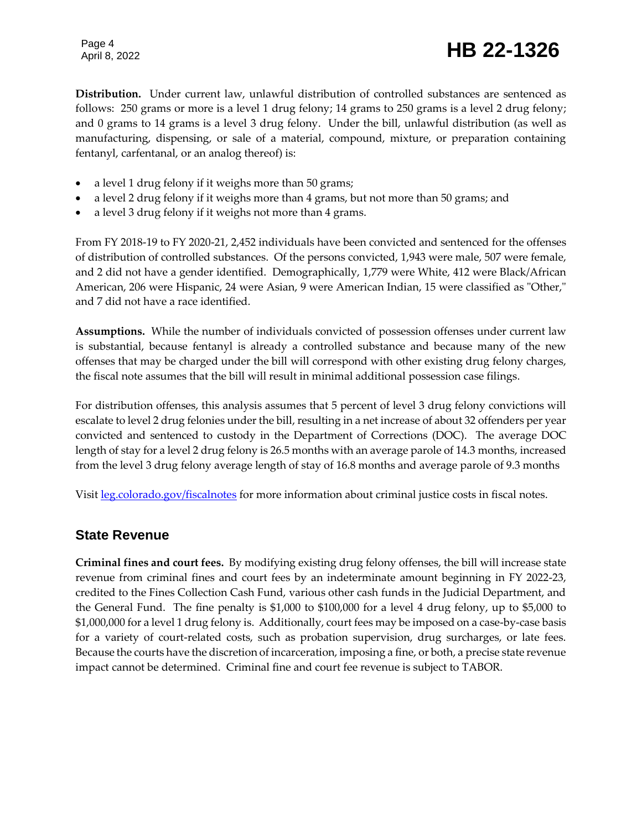## Page 4<br>April 8, 2022 **HB 22-1326**

**Distribution.** Under current law, unlawful distribution of controlled substances are sentenced as follows: 250 grams or more is a level 1 drug felony; 14 grams to 250 grams is a level 2 drug felony; and 0 grams to 14 grams is a level 3 drug felony. Under the bill, unlawful distribution (as well as manufacturing, dispensing, or sale of a material, compound, mixture, or preparation containing fentanyl, carfentanal, or an analog thereof) is:

- a level 1 drug felony if it weighs more than 50 grams;
- a level 2 drug felony if it weighs more than 4 grams, but not more than 50 grams; and
- a level 3 drug felony if it weighs not more than 4 grams.

From FY 2018-19 to FY 2020-21, 2,452 individuals have been convicted and sentenced for the offenses of distribution of controlled substances. Of the persons convicted, 1,943 were male, 507 were female, and 2 did not have a gender identified. Demographically, 1,779 were White, 412 were Black/African American, 206 were Hispanic, 24 were Asian, 9 were American Indian, 15 were classified as "Other," and 7 did not have a race identified.

**Assumptions.** While the number of individuals convicted of possession offenses under current law is substantial, because fentanyl is already a controlled substance and because many of the new offenses that may be charged under the bill will correspond with other existing drug felony charges, the fiscal note assumes that the bill will result in minimal additional possession case filings.

For distribution offenses, this analysis assumes that 5 percent of level 3 drug felony convictions will escalate to level 2 drug felonies under the bill, resulting in a net increase of about 32 offenders per year convicted and sentenced to custody in the Department of Corrections (DOC). The average DOC length of stay for a level 2 drug felony is 26.5 months with an average parole of 14.3 months, increased from the level 3 drug felony average length of stay of 16.8 months and average parole of 9.3 months

Visit [leg.colorado.gov/fiscalnotes](http://leg.colorado.gov/fiscalnotes/) for more information about criminal justice costs in fiscal notes.

#### **State Revenue**

**Criminal fines and court fees.** By modifying existing drug felony offenses, the bill will increase state revenue from criminal fines and court fees by an indeterminate amount beginning in FY 2022-23, credited to the Fines Collection Cash Fund, various other cash funds in the Judicial Department, and the General Fund. The fine penalty is \$1,000 to \$100,000 for a level 4 drug felony, up to \$5,000 to \$1,000,000 for a level 1 drug felony is. Additionally, court fees may be imposed on a case-by-case basis for a variety of court-related costs, such as probation supervision, drug surcharges, or late fees. Because the courts have the discretion of incarceration, imposing a fine, or both, a precise state revenue impact cannot be determined. Criminal fine and court fee revenue is subject to TABOR.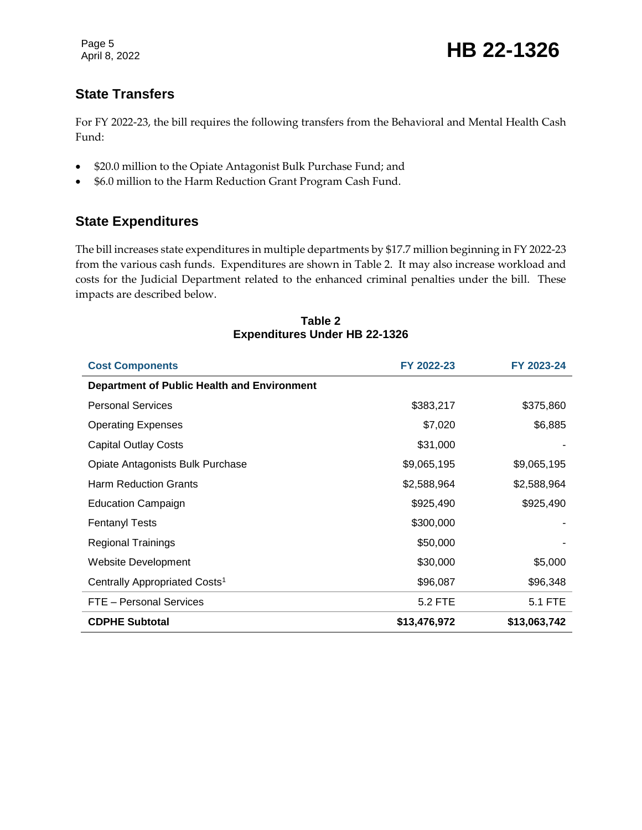## **State Transfers**

For FY 2022-23, the bill requires the following transfers from the Behavioral and Mental Health Cash Fund:

- \$20.0 million to the Opiate Antagonist Bulk Purchase Fund; and
- \$6.0 million to the Harm Reduction Grant Program Cash Fund.

### **State Expenditures**

The bill increases state expenditures in multiple departments by \$17.7 million beginning in FY 2022-23 from the various cash funds. Expenditures are shown in Table 2. It may also increase workload and costs for the Judicial Department related to the enhanced criminal penalties under the bill. These impacts are described below.

| <b>Cost Components</b>                             | FY 2022-23   | FY 2023-24   |
|----------------------------------------------------|--------------|--------------|
| <b>Department of Public Health and Environment</b> |              |              |
| <b>Personal Services</b>                           | \$383,217    | \$375,860    |
| <b>Operating Expenses</b>                          | \$7,020      | \$6,885      |
| <b>Capital Outlay Costs</b>                        | \$31,000     |              |
| Opiate Antagonists Bulk Purchase                   | \$9,065,195  | \$9,065,195  |
| <b>Harm Reduction Grants</b>                       | \$2,588,964  | \$2,588,964  |
| <b>Education Campaign</b>                          | \$925,490    | \$925,490    |
| <b>Fentanyl Tests</b>                              | \$300,000    |              |
| <b>Regional Trainings</b>                          | \$50,000     |              |
| Website Development                                | \$30,000     | \$5,000      |
| Centrally Appropriated Costs <sup>1</sup>          | \$96,087     | \$96,348     |
| FTE - Personal Services                            | 5.2 FTE      | 5.1 FTE      |
| <b>CDPHE Subtotal</b>                              | \$13,476,972 | \$13,063,742 |

#### **Table 2 Expenditures Under HB 22-1326**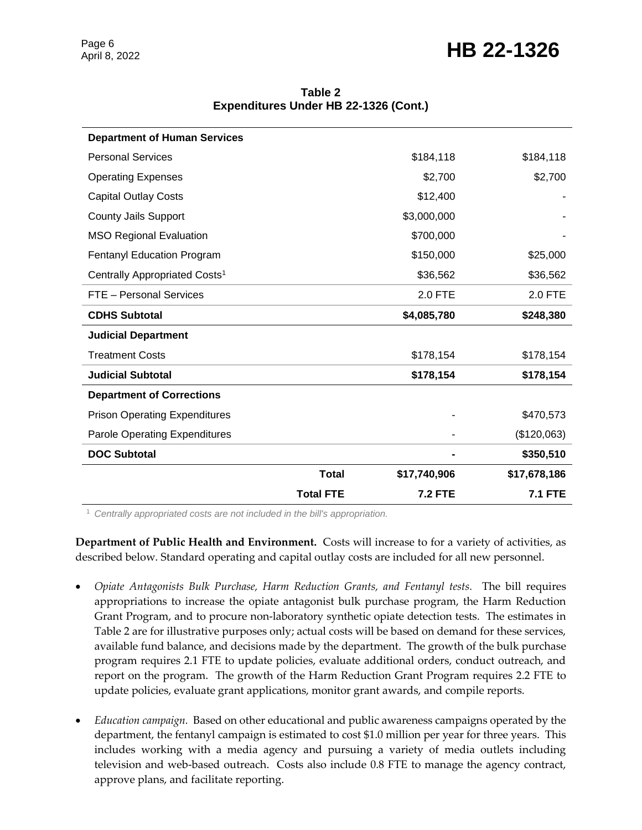## Page 6<br>April 8, 2022 **HB 22-1326**

| <b>Department of Human Services</b>       |                  |                |                |
|-------------------------------------------|------------------|----------------|----------------|
| <b>Personal Services</b>                  |                  | \$184,118      | \$184,118      |
| <b>Operating Expenses</b>                 |                  | \$2,700        | \$2,700        |
| <b>Capital Outlay Costs</b>               |                  | \$12,400       |                |
| <b>County Jails Support</b>               |                  | \$3,000,000    |                |
| <b>MSO Regional Evaluation</b>            |                  | \$700,000      |                |
| <b>Fentanyl Education Program</b>         |                  | \$150,000      | \$25,000       |
| Centrally Appropriated Costs <sup>1</sup> |                  | \$36,562       | \$36,562       |
| FTE - Personal Services                   |                  | <b>2.0 FTE</b> | $2.0$ FTE      |
| <b>CDHS Subtotal</b>                      |                  | \$4,085,780    | \$248,380      |
| <b>Judicial Department</b>                |                  |                |                |
| <b>Treatment Costs</b>                    |                  | \$178,154      | \$178,154      |
| <b>Judicial Subtotal</b>                  |                  | \$178,154      | \$178,154      |
| <b>Department of Corrections</b>          |                  |                |                |
| <b>Prison Operating Expenditures</b>      |                  |                | \$470,573      |
| <b>Parole Operating Expenditures</b>      |                  |                | (\$120,063)    |
| <b>DOC Subtotal</b>                       |                  |                | \$350,510      |
|                                           | <b>Total</b>     | \$17,740,906   | \$17,678,186   |
|                                           | <b>Total FTE</b> | <b>7.2 FTE</b> | <b>7.1 FTE</b> |

**Table 2 Expenditures Under HB 22-1326 (Cont.)**

<sup>1</sup> *Centrally appropriated costs are not included in the bill's appropriation.*

**Department of Public Health and Environment.** Costs will increase to for a variety of activities, as described below. Standard operating and capital outlay costs are included for all new personnel.

- *Opiate Antagonists Bulk Purchase, Harm Reduction Grants, and Fentanyl tests.* The bill requires appropriations to increase the opiate antagonist bulk purchase program, the Harm Reduction Grant Program, and to procure non-laboratory synthetic opiate detection tests. The estimates in Table 2 are for illustrative purposes only; actual costs will be based on demand for these services, available fund balance, and decisions made by the department. The growth of the bulk purchase program requires 2.1 FTE to update policies, evaluate additional orders, conduct outreach, and report on the program. The growth of the Harm Reduction Grant Program requires 2.2 FTE to update policies, evaluate grant applications, monitor grant awards, and compile reports.
- *Education campaign.* Based on other educational and public awareness campaigns operated by the department, the fentanyl campaign is estimated to cost \$1.0 million per year for three years. This includes working with a media agency and pursuing a variety of media outlets including television and web-based outreach. Costs also include 0.8 FTE to manage the agency contract, approve plans, and facilitate reporting.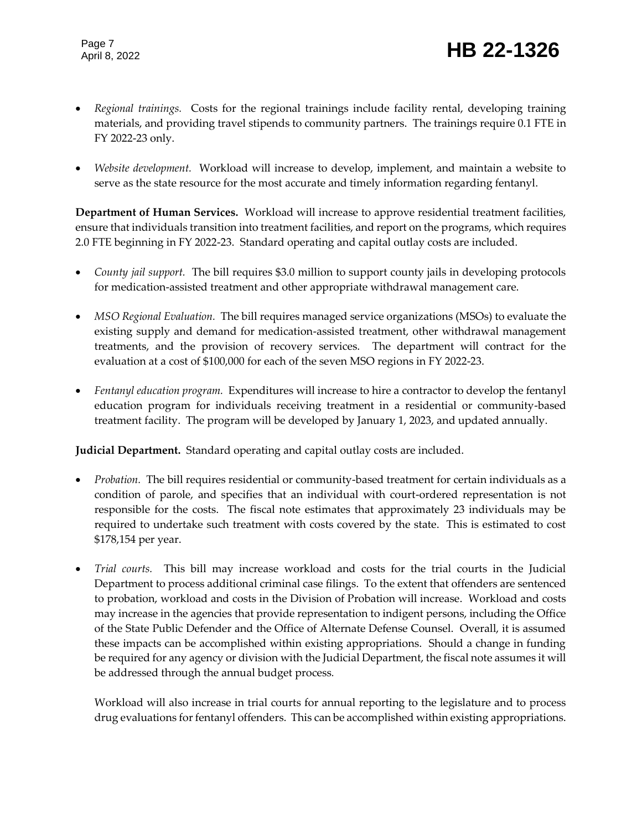- *Regional trainings.* Costs for the regional trainings include facility rental, developing training materials, and providing travel stipends to community partners. The trainings require 0.1 FTE in FY 2022-23 only.
- *Website development.* Workload will increase to develop, implement, and maintain a website to serve as the state resource for the most accurate and timely information regarding fentanyl.

**Department of Human Services.** Workload will increase to approve residential treatment facilities, ensure that individuals transition into treatment facilities, and report on the programs, which requires 2.0 FTE beginning in FY 2022-23. Standard operating and capital outlay costs are included.

- *County jail support.* The bill requires \$3.0 million to support county jails in developing protocols for medication-assisted treatment and other appropriate withdrawal management care.
- *MSO Regional Evaluation.* The bill requires managed service organizations (MSOs) to evaluate the existing supply and demand for medication-assisted treatment, other withdrawal management treatments, and the provision of recovery services. The department will contract for the evaluation at a cost of \$100,000 for each of the seven MSO regions in FY 2022-23.
- *Fentanyl education program.* Expenditures will increase to hire a contractor to develop the fentanyl education program for individuals receiving treatment in a residential or community-based treatment facility. The program will be developed by January 1, 2023, and updated annually.

**Judicial Department.** Standard operating and capital outlay costs are included.

- *Probation.* The bill requires residential or community-based treatment for certain individuals as a condition of parole, and specifies that an individual with court-ordered representation is not responsible for the costs. The fiscal note estimates that approximately 23 individuals may be required to undertake such treatment with costs covered by the state. This is estimated to cost \$178,154 per year.
- *Trial courts*. This bill may increase workload and costs for the trial courts in the Judicial Department to process additional criminal case filings. To the extent that offenders are sentenced to probation, workload and costs in the Division of Probation will increase. Workload and costs may increase in the agencies that provide representation to indigent persons, including the Office of the State Public Defender and the Office of Alternate Defense Counsel. Overall, it is assumed these impacts can be accomplished within existing appropriations. Should a change in funding be required for any agency or division with the Judicial Department, the fiscal note assumes it will be addressed through the annual budget process*.*

Workload will also increase in trial courts for annual reporting to the legislature and to process drug evaluations for fentanyl offenders. This can be accomplished within existing appropriations.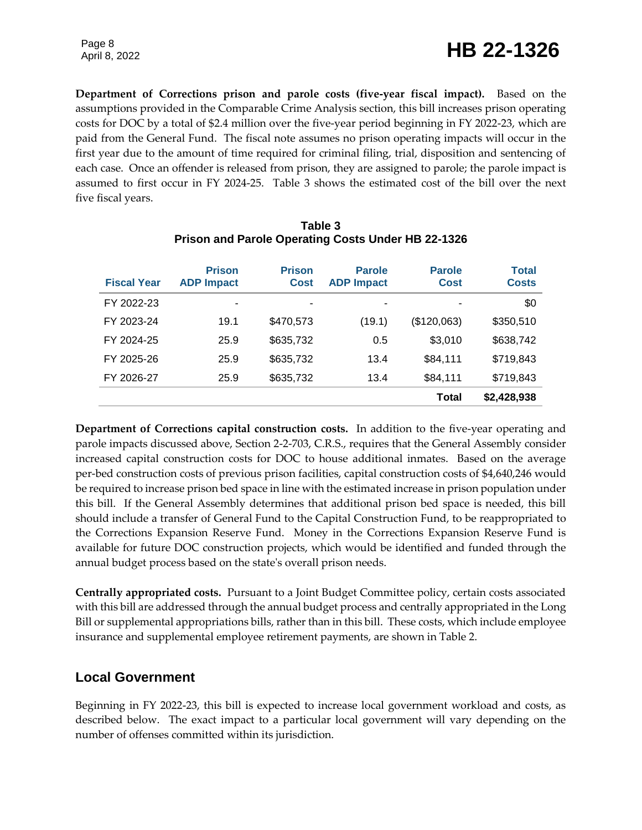**Department of Corrections prison and parole costs (five-year fiscal impact).** Based on the assumptions provided in the Comparable Crime Analysis section, this bill increases prison operating costs for DOC by a total of \$2.4 million over the five-year period beginning in FY 2022-23, which are paid from the General Fund. The fiscal note assumes no prison operating impacts will occur in the first year due to the amount of time required for criminal filing, trial, disposition and sentencing of each case. Once an offender is released from prison, they are assigned to parole; the parole impact is assumed to first occur in FY 2024-25. Table 3 shows the estimated cost of the bill over the next five fiscal years.

| <b>Fiscal Year</b> | <b>Prison</b><br><b>ADP Impact</b> | <b>Prison</b><br><b>Cost</b> | <b>Parole</b><br><b>ADP Impact</b> | <b>Parole</b><br><b>Cost</b> | <b>Total</b><br><b>Costs</b> |
|--------------------|------------------------------------|------------------------------|------------------------------------|------------------------------|------------------------------|
| FY 2022-23         | ۰                                  |                              | ۰                                  | ٠                            | \$0                          |
| FY 2023-24         | 19.1                               | \$470,573                    | (19.1)                             | (\$120,063)                  | \$350,510                    |
| FY 2024-25         | 25.9                               | \$635,732                    | 0.5                                | \$3,010                      | \$638,742                    |
| FY 2025-26         | 25.9                               | \$635,732                    | 13.4                               | \$84,111                     | \$719,843                    |
| FY 2026-27         | 25.9                               | \$635,732                    | 13.4                               | \$84,111                     | \$719,843                    |
|                    |                                    |                              |                                    | <b>Total</b>                 | \$2,428,938                  |

#### **Table 3 Prison and Parole Operating Costs Under HB 22-1326**

**Department of Corrections capital construction costs.** In addition to the five-year operating and parole impacts discussed above, Section 2-2-703, C.R.S., requires that the General Assembly consider increased capital construction costs for DOC to house additional inmates. Based on the average per-bed construction costs of previous prison facilities, capital construction costs of \$4,640,246 would be required to increase prison bed space in line with the estimated increase in prison population under this bill. If the General Assembly determines that additional prison bed space is needed, this bill should include a transfer of General Fund to the Capital Construction Fund, to be reappropriated to the Corrections Expansion Reserve Fund. Money in the Corrections Expansion Reserve Fund is available for future DOC construction projects, which would be identified and funded through the annual budget process based on the state's overall prison needs.

**Centrally appropriated costs.** Pursuant to a Joint Budget Committee policy, certain costs associated with this bill are addressed through the annual budget process and centrally appropriated in the Long Bill or supplemental appropriations bills, rather than in this bill. These costs, which include employee insurance and supplemental employee retirement payments, are shown in Table 2.

### **Local Government**

Beginning in FY 2022-23, this bill is expected to increase local government workload and costs, as described below. The exact impact to a particular local government will vary depending on the number of offenses committed within its jurisdiction.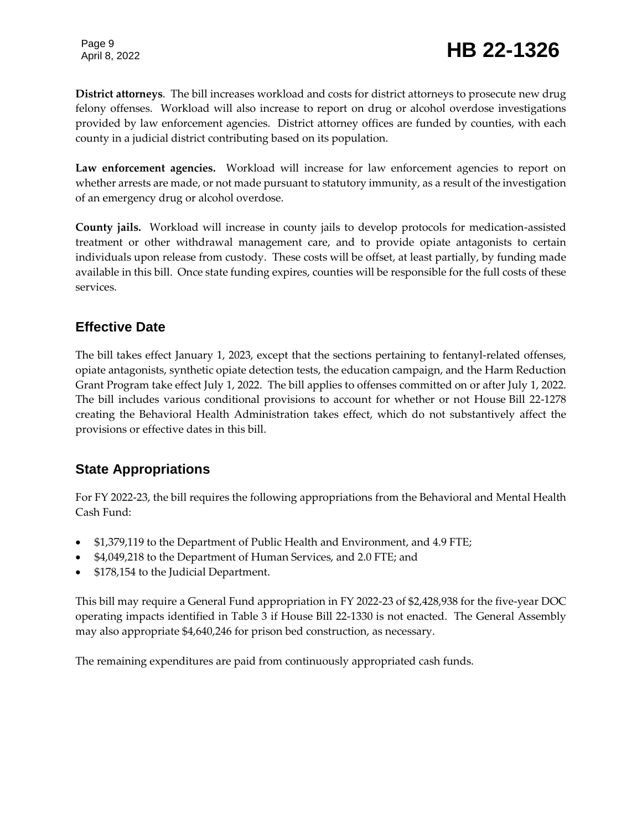## Page 9<br>April 8, 2022 **HB 22-1326**

**District attorneys**. The bill increases workload and costs for district attorneys to prosecute new drug felony offenses. Workload will also increase to report on drug or alcohol overdose investigations provided by law enforcement agencies. District attorney offices are funded by counties, with each county in a judicial district contributing based on its population.

**Law enforcement agencies.** Workload will increase for law enforcement agencies to report on whether arrests are made, or not made pursuant to statutory immunity, as a result of the investigation of an emergency drug or alcohol overdose.

**County jails.** Workload will increase in county jails to develop protocols for medication-assisted treatment or other withdrawal management care, and to provide opiate antagonists to certain individuals upon release from custody. These costs will be offset, at least partially, by funding made available in this bill. Once state funding expires, counties will be responsible for the full costs of these services.

### **Effective Date**

The bill takes effect January 1, 2023, except that the sections pertaining to fentanyl-related offenses, opiate antagonists, synthetic opiate detection tests, the education campaign, and the Harm Reduction Grant Program take effect July 1, 2022. The bill applies to offenses committed on or after July 1, 2022. The bill includes various conditional provisions to account for whether or not House Bill 22-1278 creating the Behavioral Health Administration takes effect, which do not substantively affect the provisions or effective dates in this bill.

## **State Appropriations**

For FY 2022-23, the bill requires the following appropriations from the Behavioral and Mental Health Cash Fund:

- \$1,379,119 to the Department of Public Health and Environment, and 4.9 FTE;
- \$4,049,218 to the Department of Human Services, and 2.0 FTE; and
- \$178,154 to the Judicial Department.

This bill may require a General Fund appropriation in FY 2022-23 of \$2,428,938 for the five-year DOC operating impacts identified in Table 3 if House Bill 22-1330 is not enacted. The General Assembly may also appropriate \$4,640,246 for prison bed construction, as necessary.

The remaining expenditures are paid from continuously appropriated cash funds.